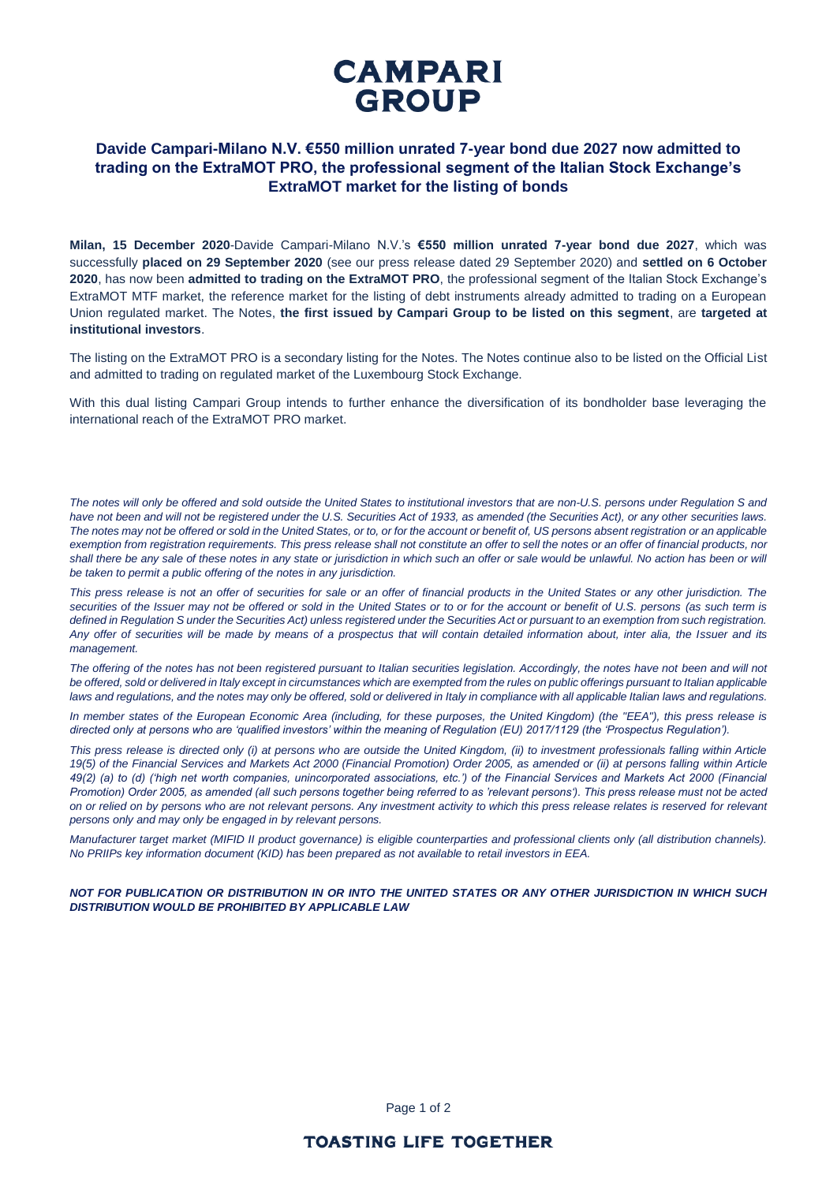

# **Davide Campari-Milano N.V. €550 million unrated 7-year bond due 2027 now admitted to trading on the ExtraMOT PRO, the professional segment of the Italian Stock Exchange's ExtraMOT market for the listing of bonds**

**Milan, 15 December 2020**-Davide Campari-Milano N.V.'s **€550 million unrated 7-year bond due 2027**, which was successfully **placed on 29 September 2020** (see our press release dated 29 September 2020) and **settled on 6 October 2020**, has now been **admitted to trading on the ExtraMOT PRO**, the professional segment of the Italian Stock Exchange's ExtraMOT MTF market, the reference market for the listing of debt instruments already admitted to trading on a European Union regulated market. The Notes, **the first issued by Campari Group to be listed on this segment**, are **targeted at institutional investors**.

The listing on the ExtraMOT PRO is a secondary listing for the Notes. The Notes continue also to be listed on the Official List and admitted to trading on regulated market of the Luxembourg Stock Exchange.

With this dual listing Campari Group intends to further enhance the diversification of its bondholder base leveraging the international reach of the ExtraMOT PRO market.

*The notes will only be offered and sold outside the United States to institutional investors that are non-U.S. persons under Regulation S and*  have not been and will not be registered under the U.S. Securities Act of 1933, as amended (the Securities Act), or any other securities laws. The notes may not be offered or sold in the United States, or to, or for the account or benefit of, US persons absent registration or an applicable *exemption from registration requirements. This press release shall not constitute an offer to sell the notes or an offer of financial products, nor*  shall there be any sale of these notes in any state or jurisdiction in which such an offer or sale would be unlawful. No action has been or will *be taken to permit a public offering of the notes in any jurisdiction.*

*This press release is not an offer of securities for sale or an offer of financial products in the United States or any other jurisdiction. The securities of the Issuer may not be offered or sold in the United States or to or for the account or benefit of U.S. persons (as such term is defined in Regulation S under the Securities Act) unless registered under the Securities Act or pursuant to an exemption from such registration. Any offer of securities will be made by means of a prospectus that will contain detailed information about, inter alia, the Issuer and its management.*

*The offering of the notes has not been registered pursuant to Italian securities legislation. Accordingly, the notes have not been and will not*  be offered, sold or delivered in Italy except in circumstances which are exempted from the rules on public offerings pursuant to Italian applicable laws and regulations, and the notes may only be offered, sold or delivered in Italy in compliance with all applicable Italian laws and regulations.

*In member states of the European Economic Area (including, for these purposes, the United Kingdom) (the "EEA"), this press release is directed only at persons who are 'qualified investors' within the meaning of Regulation (EU) 2017/1129 (the 'Prospectus Regulation').*

*This press release is directed only (i) at persons who are outside the United Kingdom, (ii) to investment professionals falling within Article 19(5) of the Financial Services and Markets Act 2000 (Financial Promotion) Order 2005, as amended or (ii) at persons falling within Article 49(2) (a) to (d) ('high net worth companies, unincorporated associations, etc.') of the Financial Services and Markets Act 2000 (Financial Promotion) Order 2005, as amended (all such persons together being referred to as 'relevant persons'). This press release must not be acted on or relied on by persons who are not relevant persons. Any investment activity to which this press release relates is reserved for relevant persons only and may only be engaged in by relevant persons.*

*Manufacturer target market (MIFID II product governance) is eligible counterparties and professional clients only (all distribution channels). No PRIIPs key information document (KID) has been prepared as not available to retail investors in EEA.*

*NOT FOR PUBLICATION OR DISTRIBUTION IN OR INTO THE UNITED STATES OR ANY OTHER JURISDICTION IN WHICH SUCH DISTRIBUTION WOULD BE PROHIBITED BY APPLICABLE LAW*

Page 1 of 2

## **TOASTING LIFE TOGETHER**